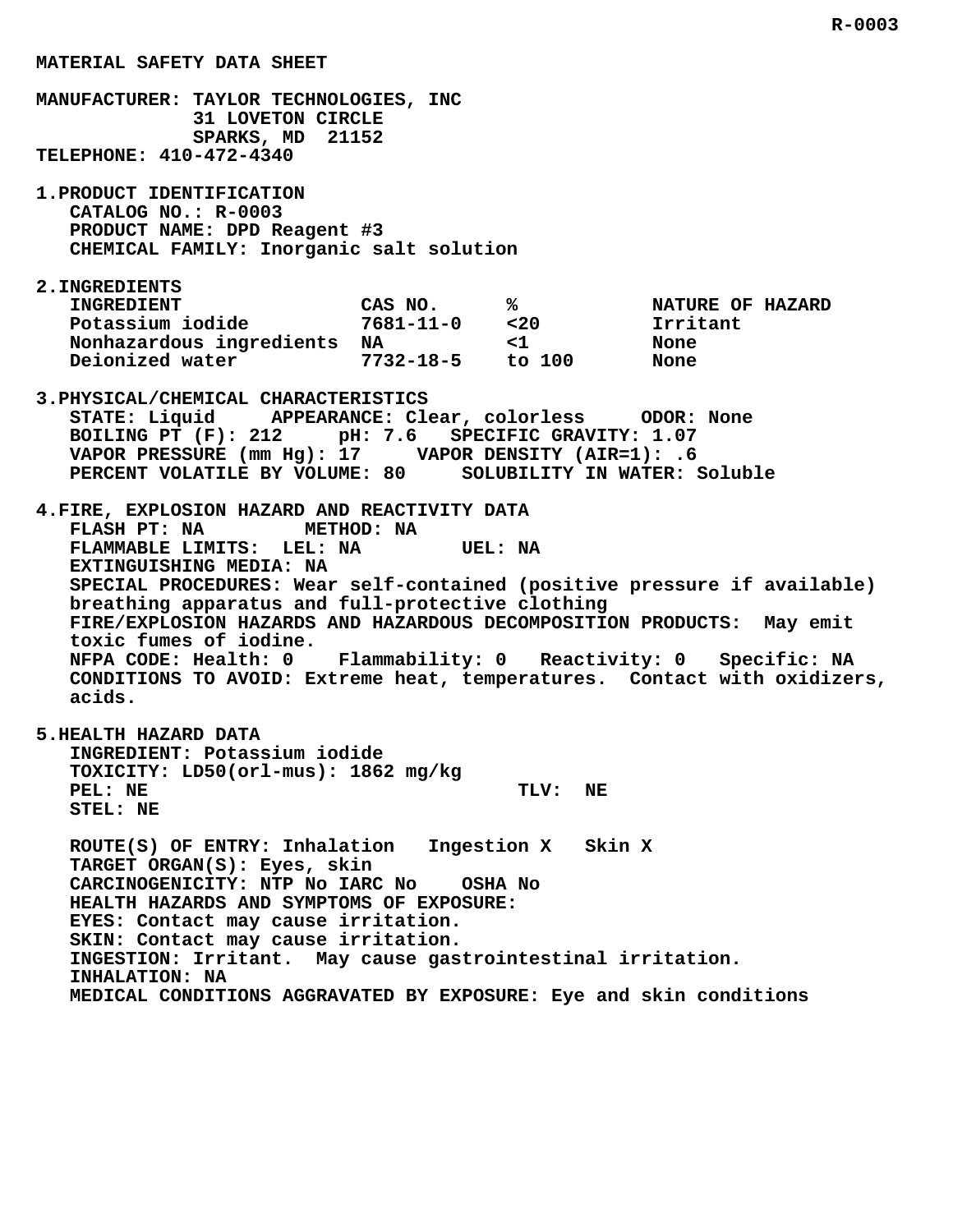**MANUFACTURER: TAYLOR TECHNOLOGIES, INC 31 LOVETON CIRCLE SPARKS, MD 21152 TELEPHONE: 410-472-4340 1.PRODUCT IDENTIFICATION CATALOG NO.: R-0003 PRODUCT NAME: DPD Reagent #3 CHEMICAL FAMILY: Inorganic salt solution 2.INGREDIENTS INGREDIENT CAS NO. % NATURE OF HAZARD** Potassium iodide 10.100 ion 10.100 m no.100 m nature 0.100 m nature 0.100 m nature 0.100 m nature 0.100 m nature 0.100 m nature 0.100 m nature 0.100 m nature 0.100 m nature 0.100 m nature 0.100 m nature 0.100 m nature 0.10  **Nonhazardous ingredients NA <1 None Deionized water 7732-18-5 to 100 None 3.PHYSICAL/CHEMICAL CHARACTERISTICS STATE: Liquid APPEARANCE: Clear, colorless ODOR: None BOILING PT (F): 212 pH: 7.6 SPECIFIC GRAVITY: 1.07 VAPOR PRESSURE (mm Hg): 17 VAPOR DENSITY (AIR=1): .6 PERCENT VOLATILE BY VOLUME: 80 SOLUBILITY IN WATER: Soluble 4.FIRE, EXPLOSION HAZARD AND REACTIVITY DATA** FLASH PT: NA METHOD: NA<br>FLAMMABLE LIMITS: LEL: NA UEL: NA FLAMMABLE LIMITS: LEL: NA  **EXTINGUISHING MEDIA: NA SPECIAL PROCEDURES: Wear self-contained (positive pressure if available) breathing apparatus and full-protective clothing FIRE/EXPLOSION HAZARDS AND HAZARDOUS DECOMPOSITION PRODUCTS: May emit toxic fumes of iodine. NFPA CODE: Health: 0 Flammability: 0 Reactivity: 0 Specific: NA CONDITIONS TO AVOID: Extreme heat, temperatures. Contact with oxidizers, acids. 5.HEALTH HAZARD DATA INGREDIENT: Potassium iodide TOXICITY: LD50(orl-mus): 1862 mg/kg** PEL: NE TLV: NE  **STEL: NE ROUTE(S) OF ENTRY: Inhalation Ingestion X Skin X TARGET ORGAN(S): Eyes, skin CARCINOGENICITY: NTP No IARC No OSHA No HEALTH HAZARDS AND SYMPTOMS OF EXPOSURE: EYES: Contact may cause irritation.**

 **MATERIAL SAFETY DATA SHEET**

 **SKIN: Contact may cause irritation. INGESTION: Irritant. May cause gastrointestinal irritation. INHALATION: NA**

 **MEDICAL CONDITIONS AGGRAVATED BY EXPOSURE: Eye and skin conditions**